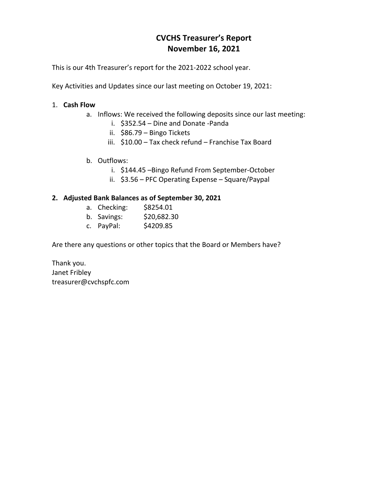## **CVCHS Treasurer's Report November 16, 2021**

This is our 4th Treasurer's report for the 2021-2022 school year.

Key Activities and Updates since our last meeting on October 19, 2021:

## 1. **Cash Flow**

- a. Inflows: We received the following deposits since our last meeting:
	- i. \$352.54 Dine and Donate -Panda
	- ii. \$86.79 Bingo Tickets
	- iii. \$10.00 Tax check refund Franchise Tax Board
- b. Outflows:
	- i. \$144.45 –Bingo Refund From September-October
	- ii. \$3.56 PFC Operating Expense Square/Paypal

## **2. Adjusted Bank Balances as of September 30, 2021**

- a. Checking: \$8254.01
- b. Savings: \$20,682.30
- c. PayPal: \$4209.85

Are there any questions or other topics that the Board or Members have?

Thank you. Janet Fribley treasurer@cvchspfc.com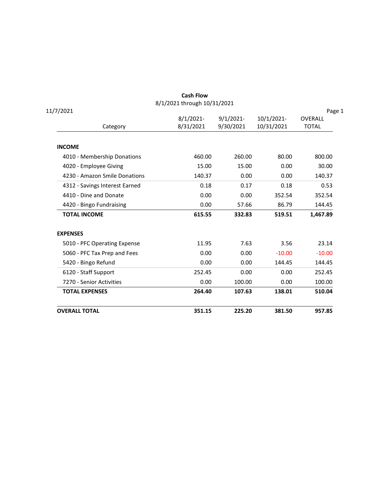|                                | <b>Cash Flow</b> |              |            |              |  |  |  |
|--------------------------------|------------------|--------------|------------|--------------|--|--|--|
| 8/1/2021 through 10/31/2021    |                  |              |            |              |  |  |  |
| 11/7/2021                      |                  |              |            | Page 1       |  |  |  |
|                                | $8/1/2021$ -     | $9/1/2021$ - | 10/1/2021- | OVERALL      |  |  |  |
| Category                       | 8/31/2021        | 9/30/2021    | 10/31/2021 | <b>TOTAL</b> |  |  |  |
| <b>INCOME</b>                  |                  |              |            |              |  |  |  |
| 4010 - Membership Donations    | 460.00           | 260.00       | 80.00      | 800.00       |  |  |  |
| 4020 - Employee Giving         | 15.00            | 15.00        | 0.00       | 30.00        |  |  |  |
| 4230 - Amazon Smile Donations  | 140.37           | 0.00         | 0.00       | 140.37       |  |  |  |
| 4312 - Savings Interest Earned | 0.18             | 0.17         | 0.18       | 0.53         |  |  |  |
| 4410 - Dine and Donate         | 0.00             | 0.00         | 352.54     | 352.54       |  |  |  |
| 4420 - Bingo Fundraising       | 0.00             | 57.66        | 86.79      | 144.45       |  |  |  |
| <b>TOTAL INCOME</b>            | 615.55           | 332.83       | 519.51     | 1,467.89     |  |  |  |
| <b>EXPENSES</b>                |                  |              |            |              |  |  |  |
| 5010 - PFC Operating Expense   | 11.95            | 7.63         | 3.56       | 23.14        |  |  |  |
| 5060 - PFC Tax Prep and Fees   | 0.00             | 0.00         | $-10.00$   | $-10.00$     |  |  |  |
| 5420 - Bingo Refund            | 0.00             | 0.00         | 144.45     | 144.45       |  |  |  |
| 6120 - Staff Support           | 252.45           | 0.00         | 0.00       | 252.45       |  |  |  |
| 7270 - Senior Activities       | 0.00             | 100.00       | 0.00       | 100.00       |  |  |  |
| <b>TOTAL EXPENSES</b>          | 264.40           | 107.63       | 138.01     | 510.04       |  |  |  |
| <b>OVERALL TOTAL</b>           | 351.15           | 225.20       | 381.50     | 957.85       |  |  |  |